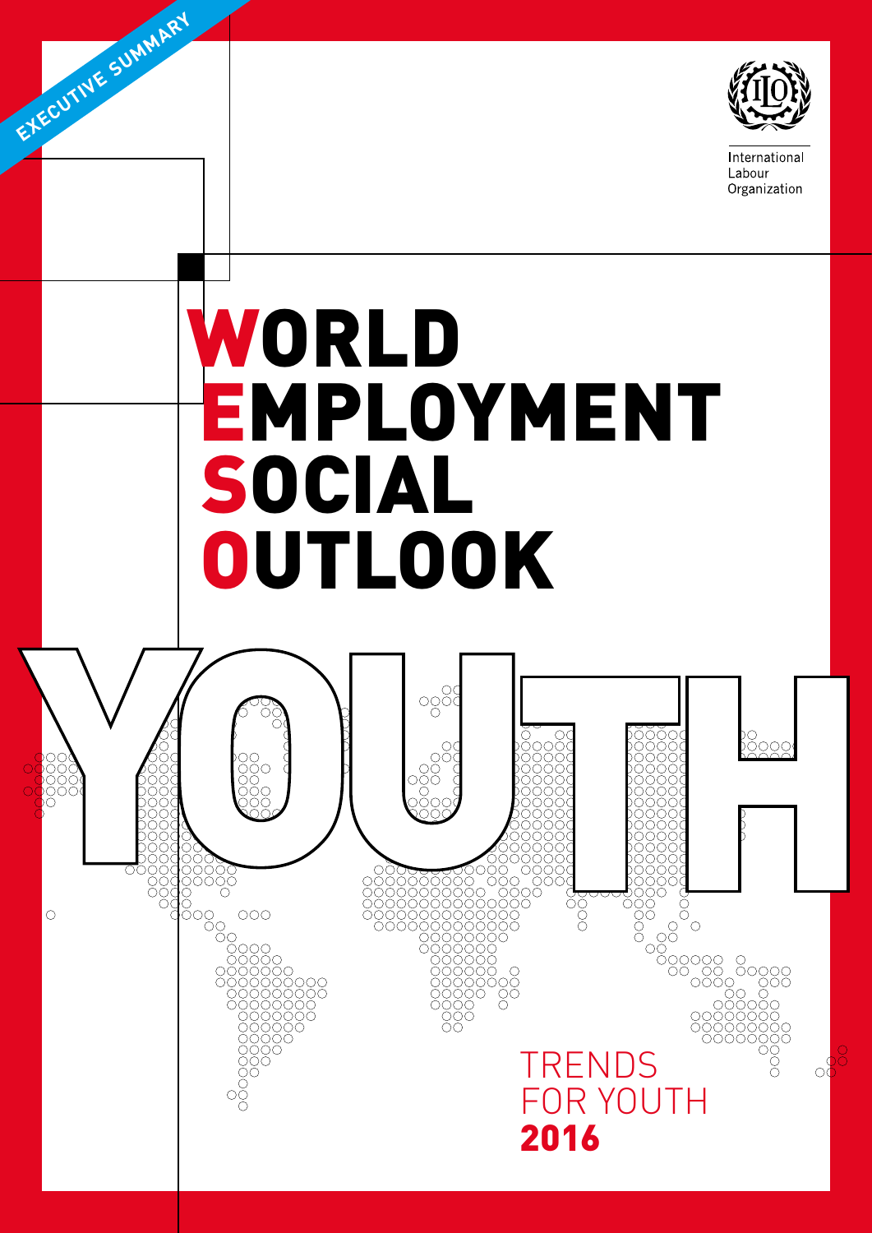

International Labour Organization

# WORLD EMPLOYMENT SOCIAL **OUTLOOK**

EXECUTIVE SUMMARY

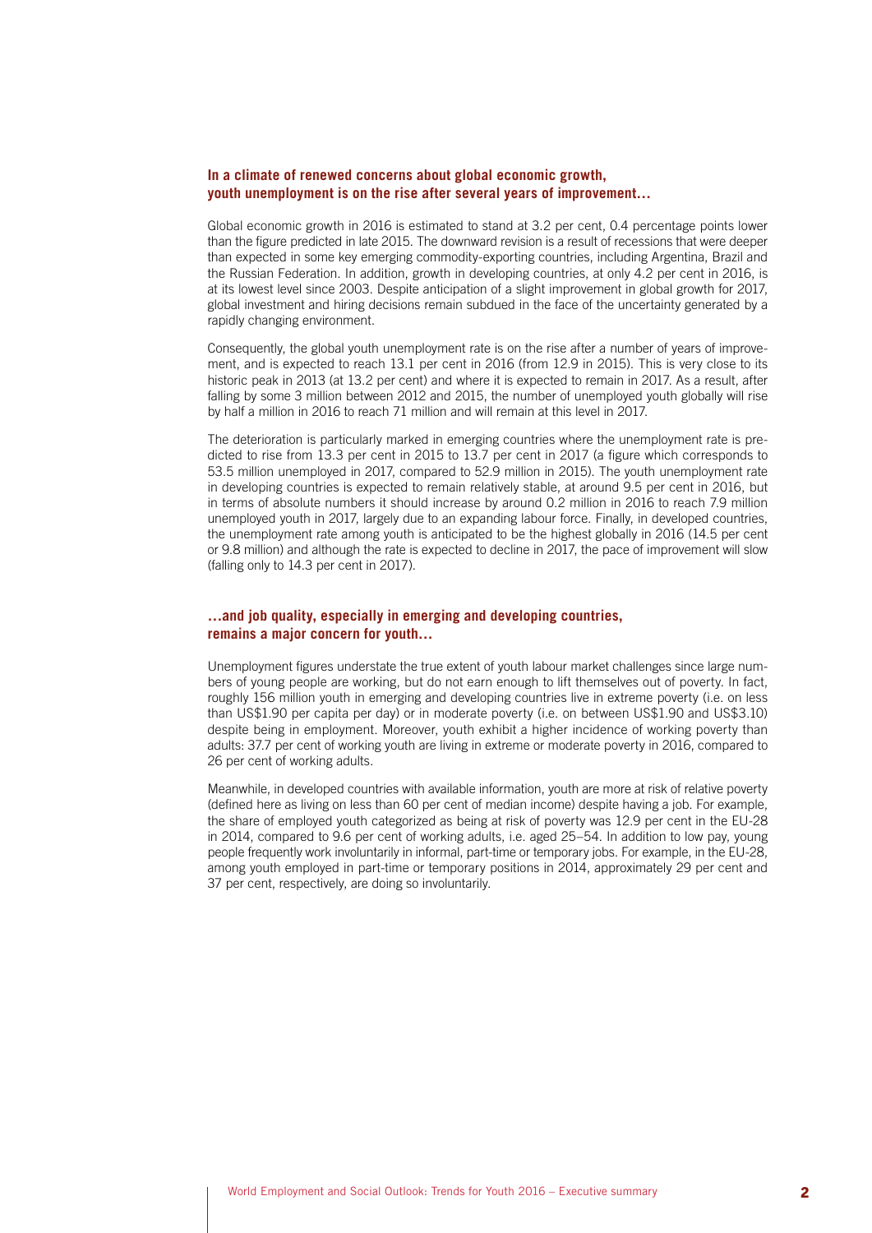## **In a climate of renewed concerns about global economic growth, youth unemployment is on the rise after several years of improvement…**

Global economic growth in 2016 is estimated to stand at 3.2 per cent, 0.4 percentage points lower than the figure predicted in late 2015. The downward revision is a result of recessions that were deeper than expected in some key emerging commodity-exporting countries, including Argentina, Brazil and the Russian Federation. In addition, growth in developing countries, at only 4.2 per cent in 2016, is at its lowest level since 2003. Despite anticipation of a slight improvement in global growth for 2017, global investment and hiring decisions remain subdued in the face of the uncertainty generated by a rapidly changing environment.

Consequently, the global youth unemployment rate is on the rise after a number of years of improvement, and is expected to reach 13.1 per cent in 2016 (from 12.9 in 2015). This is very close to its historic peak in 2013 (at 13.2 per cent) and where it is expected to remain in 2017. As a result, after falling by some 3 million between 2012 and 2015, the number of unemployed youth globally will rise by half a million in 2016 to reach 71 million and will remain at this level in 2017.

The deterioration is particularly marked in emerging countries where the unemployment rate is predicted to rise from 13.3 per cent in 2015 to 13.7 per cent in 2017 (a figure which corresponds to 53.5 million unemployed in 2017, compared to 52.9 million in 2015). The youth unemployment rate in developing countries is expected to remain relatively stable, at around 9.5 per cent in 2016, but in terms of absolute numbers it should increase by around 0.2 million in 2016 to reach 7.9 million unemployed youth in 2017, largely due to an expanding labour force. Finally, in developed countries, the unemployment rate among youth is anticipated to be the highest globally in 2016 (14.5 per cent or 9.8 million) and although the rate is expected to decline in 2017, the pace of improvement will slow (falling only to 14.3 per cent in 2017).

# **…and job quality, especially in emerging and developing countries, remains a major concern for youth…**

Unemployment figures understate the true extent of youth labour market challenges since large numbers of young people are working, but do not earn enough to lift themselves out of poverty. In fact, roughly 156 million youth in emerging and developing countries live in extreme poverty (i.e. on less than US\$1.90 per capita per day) or in moderate poverty (i.e. on between US\$1.90 and US\$3.10) despite being in employment. Moreover, youth exhibit a higher incidence of working poverty than adults: 37.7 per cent of working youth are living in extreme or moderate poverty in 2016, compared to 26 per cent of working adults.

Meanwhile, in developed countries with available information, youth are more at risk of relative poverty (defined here as living on less than 60 per cent of median income) despite having a job. For example, the share of employed youth categorized as being at risk of poverty was 12.9 per cent in the EU-28 in 2014, compared to 9.6 per cent of working adults, i.e. aged 25–54. In addition to low pay, young people frequently work involuntarily in informal, part-time or temporary jobs. For example, in the EU-28, among youth employed in part-time or temporary positions in 2014, approximately 29 per cent and 37 per cent, respectively, are doing so involuntarily.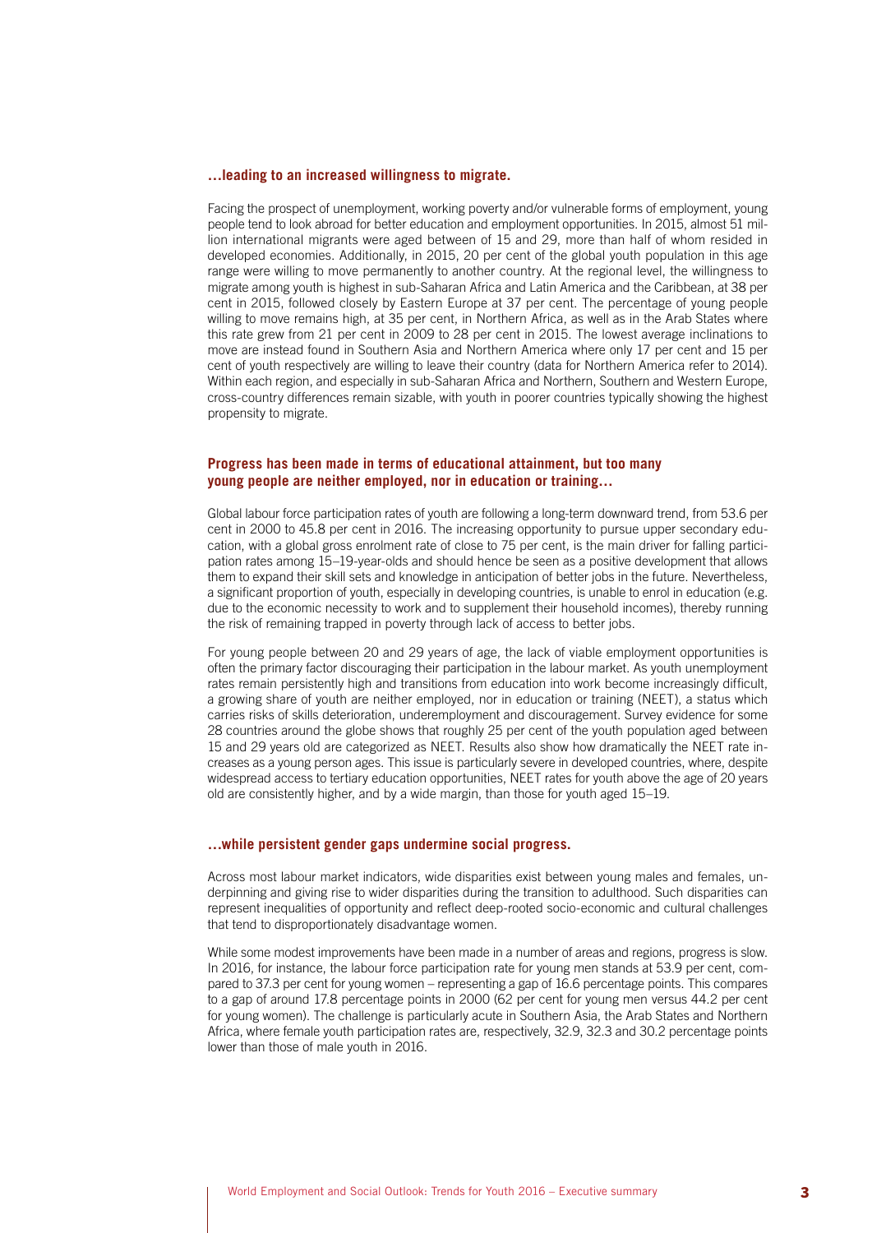#### **…leading to an increased willingness to migrate.**

Facing the prospect of unemployment, working poverty and/or vulnerable forms of employment, young people tend to look abroad for better education and employment opportunities. In 2015, almost 51 million international migrants were aged between of 15 and 29, more than half of whom resided in developed economies. Additionally, in 2015, 20 per cent of the global youth population in this age range were willing to move permanently to another country. At the regional level, the willingness to migrate among youth is highest in sub-Saharan Africa and Latin America and the Caribbean, at 38 per cent in 2015, followed closely by Eastern Europe at 37 per cent. The percentage of young people willing to move remains high, at 35 per cent, in Northern Africa, as well as in the Arab States where this rate grew from 21 per cent in 2009 to 28 per cent in 2015. The lowest average inclinations to move are instead found in Southern Asia and Northern America where only 17 per cent and 15 per cent of youth respectively are willing to leave their country (data for Northern America refer to 2014). Within each region, and especially in sub-Saharan Africa and Northern, Southern and Western Europe, cross-country differences remain sizable, with youth in poorer countries typically showing the highest propensity to migrate.

## **Progress has been made in terms of educational attainment, but too many young people are neither employed, nor in education or training…**

Global labour force participation rates of youth are following a long-term downward trend, from 53.6 per cent in 2000 to 45.8 per cent in 2016. The increasing opportunity to pursue upper secondary education, with a global gross enrolment rate of close to 75 per cent, is the main driver for falling participation rates among 15–19-year-olds and should hence be seen as a positive development that allows them to expand their skill sets and knowledge in anticipation of better jobs in the future. Nevertheless, a significant proportion of youth, especially in developing countries, is unable to enrol in education (e.g. due to the economic necessity to work and to supplement their household incomes), thereby running the risk of remaining trapped in poverty through lack of access to better jobs.

For young people between 20 and 29 years of age, the lack of viable employment opportunities is often the primary factor discouraging their participation in the labour market. As youth unemployment rates remain persistently high and transitions from education into work become increasingly difficult, a growing share of youth are neither employed, nor in education or training (NEET), a status which carries risks of skills deterioration, underemployment and discouragement. Survey evidence for some 28 countries around the globe shows that roughly 25 per cent of the youth population aged between 15 and 29 years old are categorized as NEET. Results also show how dramatically the NEET rate increases as a young person ages. This issue is particularly severe in developed countries, where, despite widespread access to tertiary education opportunities, NEET rates for youth above the age of 20 years old are consistently higher, and by a wide margin, than those for youth aged 15–19.

### **…while persistent gender gaps undermine social progress.**

Across most labour market indicators, wide disparities exist between young males and females, underpinning and giving rise to wider disparities during the transition to adulthood. Such disparities can represent inequalities of opportunity and reflect deep-rooted socio-economic and cultural challenges that tend to disproportionately disadvantage women.

While some modest improvements have been made in a number of areas and regions, progress is slow. In 2016, for instance, the labour force participation rate for young men stands at 53.9 per cent, compared to 37.3 per cent for young women – representing a gap of 16.6 percentage points. This compares to a gap of around 17.8 percentage points in 2000 (62 per cent for young men versus 44.2 per cent for young women). The challenge is particularly acute in Southern Asia, the Arab States and Northern Africa, where female youth participation rates are, respectively, 32.9, 32.3 and 30.2 percentage points lower than those of male youth in 2016.